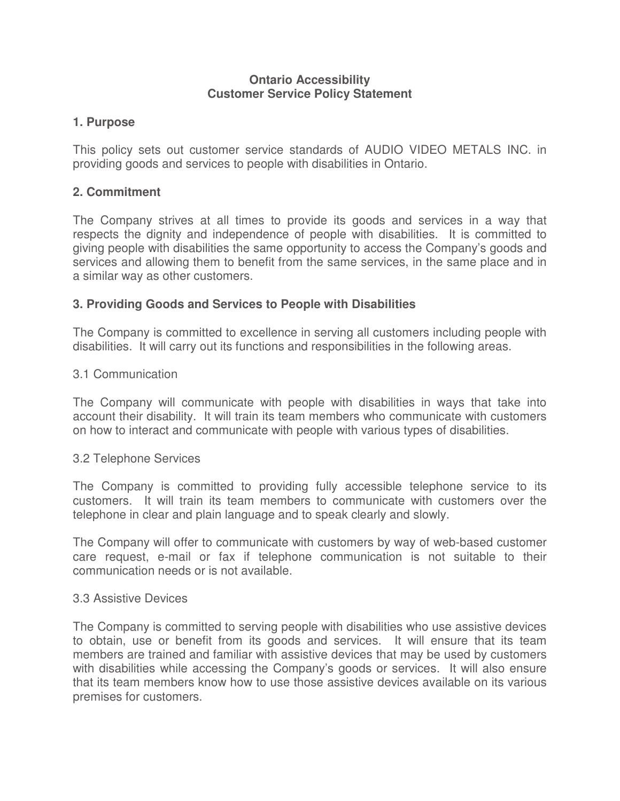#### **Ontario Accessibility Customer Service Policy Statement**

### **1. Purpose**

This policy sets out customer service standards of AUDIO VIDEO METALS INC. in providing goods and services to people with disabilities in Ontario.

## **2. Commitment**

The Company strives at all times to provide its goods and services in a way that respects the dignity and independence of people with disabilities. It is committed to giving people with disabilities the same opportunity to access the Company's goods and services and allowing them to benefit from the same services, in the same place and in a similar way as other customers.

## **3. Providing Goods and Services to People with Disabilities**

The Company is committed to excellence in serving all customers including people with disabilities. It will carry out its functions and responsibilities in the following areas.

### 3.1 Communication

The Company will communicate with people with disabilities in ways that take into account their disability. It will train its team members who communicate with customers on how to interact and communicate with people with various types of disabilities.

### 3.2 Telephone Services

The Company is committed to providing fully accessible telephone service to its customers. It will train its team members to communicate with customers over the telephone in clear and plain language and to speak clearly and slowly.

The Company will offer to communicate with customers by way of web-based customer care request, e-mail or fax if telephone communication is not suitable to their communication needs or is not available.

#### 3.3 Assistive Devices

The Company is committed to serving people with disabilities who use assistive devices to obtain, use or benefit from its goods and services. It will ensure that its team members are trained and familiar with assistive devices that may be used by customers with disabilities while accessing the Company's goods or services. It will also ensure that its team members know how to use those assistive devices available on its various premises for customers.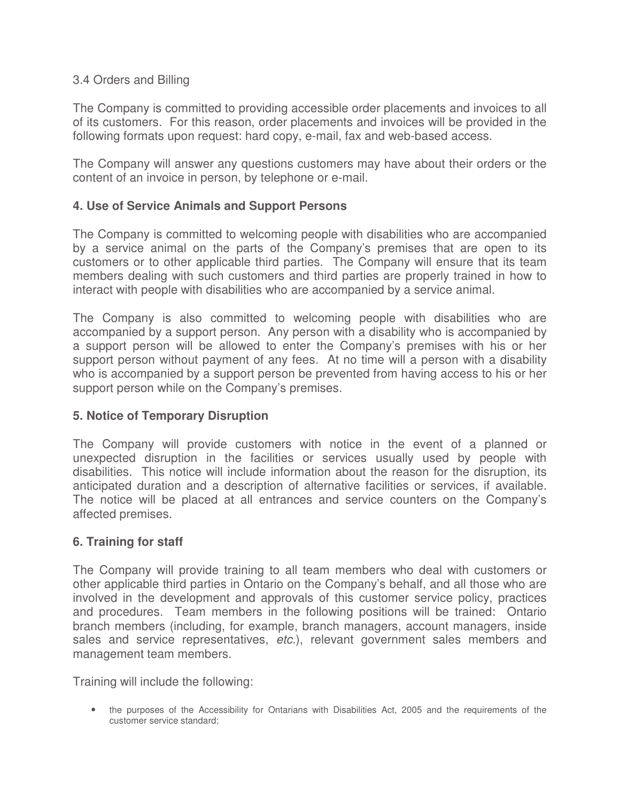### 3.4 Orders and Billing

The Company is committed to providing accessible order placements and invoices to all of its customers. For this reason, order placements and invoices will be provided in the following formats upon request: hard copy, e-mail, fax and web-based access.

The Company will answer any questions customers may have about their orders or the content of an invoice in person, by telephone or e-mail.

## **4. Use of Service Animals and Support Persons**

The Company is committed to welcoming people with disabilities who are accompanied by a service animal on the parts of the Company's premises that are open to its customers or to other applicable third parties. The Company will ensure that its team members dealing with such customers and third parties are properly trained in how to interact with people with disabilities who are accompanied by a service animal.

The Company is also committed to welcoming people with disabilities who are accompanied by a support person. Any person with a disability who is accompanied by a support person will be allowed to enter the Company's premises with his or her support person without payment of any fees. At no time will a person with a disability who is accompanied by a support person be prevented from having access to his or her support person while on the Company's premises.

### **5. Notice of Temporary Disruption**

The Company will provide customers with notice in the event of a planned or unexpected disruption in the facilities or services usually used by people with disabilities. This notice will include information about the reason for the disruption, its anticipated duration and a description of alternative facilities or services, if available. The notice will be placed at all entrances and service counters on the Company's affected premises.

### **6. Training for staff**

The Company will provide training to all team members who deal with customers or other applicable third parties in Ontario on the Company's behalf, and all those who are involved in the development and approvals of this customer service policy, practices and procedures. Team members in the following positions will be trained: Ontario branch members (including, for example, branch managers, account managers, inside sales and service representatives, etc.), relevant government sales members and management team members.

Training will include the following:

• the purposes of the Accessibility for Ontarians with Disabilities Act, 2005 and the requirements of the customer service standard;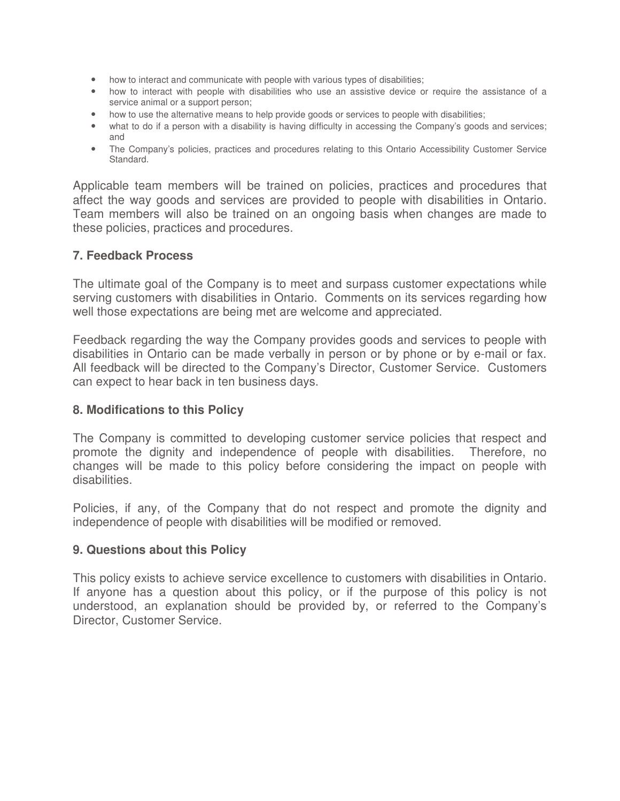- how to interact and communicate with people with various types of disabilities;
- how to interact with people with disabilities who use an assistive device or require the assistance of a service animal or a support person;
- how to use the alternative means to help provide goods or services to people with disabilities;
- what to do if a person with a disability is having difficulty in accessing the Company's goods and services; and
- The Company's policies, practices and procedures relating to this Ontario Accessibility Customer Service Standard.

Applicable team members will be trained on policies, practices and procedures that affect the way goods and services are provided to people with disabilities in Ontario. Team members will also be trained on an ongoing basis when changes are made to these policies, practices and procedures.

#### **7. Feedback Process**

The ultimate goal of the Company is to meet and surpass customer expectations while serving customers with disabilities in Ontario. Comments on its services regarding how well those expectations are being met are welcome and appreciated.

Feedback regarding the way the Company provides goods and services to people with disabilities in Ontario can be made verbally in person or by phone or by e-mail or fax. All feedback will be directed to the Company's Director, Customer Service. Customers can expect to hear back in ten business days.

#### **8. Modifications to this Policy**

The Company is committed to developing customer service policies that respect and promote the dignity and independence of people with disabilities. Therefore, no changes will be made to this policy before considering the impact on people with disabilities.

Policies, if any, of the Company that do not respect and promote the dignity and independence of people with disabilities will be modified or removed.

### **9. Questions about this Policy**

This policy exists to achieve service excellence to customers with disabilities in Ontario. If anyone has a question about this policy, or if the purpose of this policy is not understood, an explanation should be provided by, or referred to the Company's Director, Customer Service.